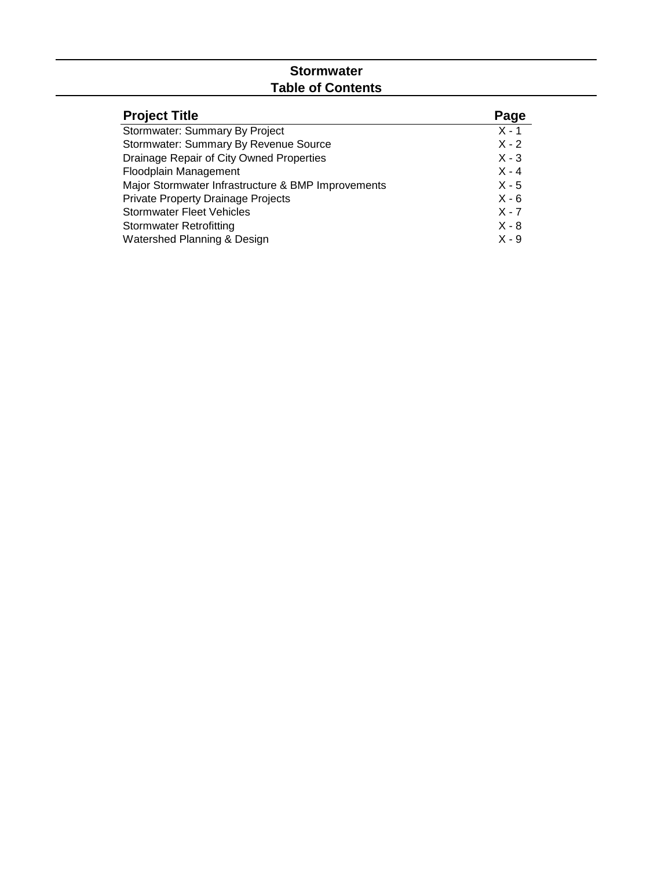# **Stormwater Table of Contents**

| <b>Project Title</b>                               | Page    |
|----------------------------------------------------|---------|
| Stormwater: Summary By Project                     | $X - 1$ |
| Stormwater: Summary By Revenue Source              | $X - 2$ |
| Drainage Repair of City Owned Properties           | $X - 3$ |
| Floodplain Management                              | $X - 4$ |
| Major Stormwater Infrastructure & BMP Improvements | $X - 5$ |
| <b>Private Property Drainage Projects</b>          | $X - 6$ |
| <b>Stormwater Fleet Vehicles</b>                   | $X - 7$ |
| <b>Stormwater Retrofitting</b>                     | $X - 8$ |
| Watershed Planning & Design                        | $X - 9$ |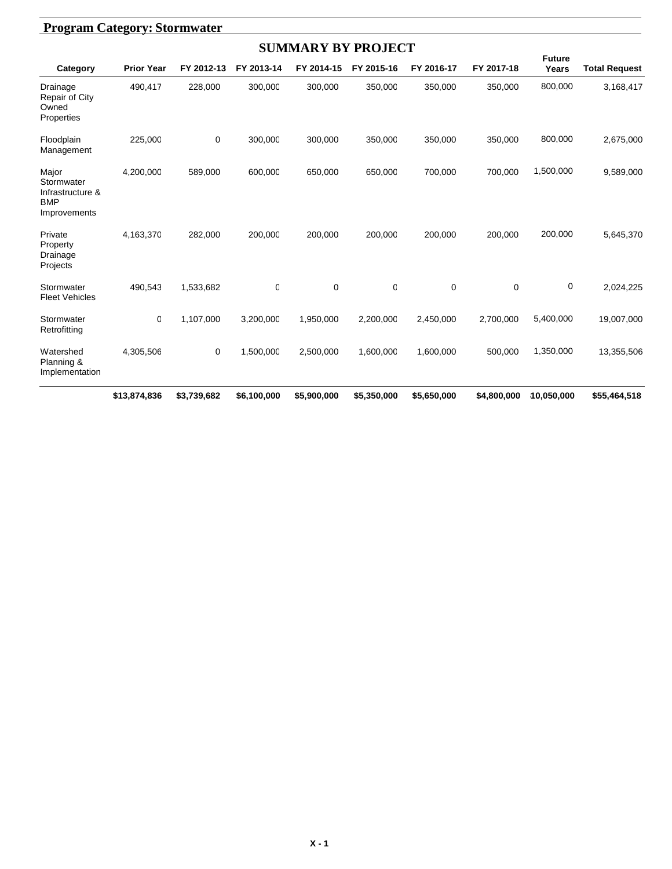|                                                                       |                   |             |             | <b>SUMMARY BY PROJECT</b> |             |             |             |                        |                      |
|-----------------------------------------------------------------------|-------------------|-------------|-------------|---------------------------|-------------|-------------|-------------|------------------------|----------------------|
| Category                                                              | <b>Prior Year</b> | FY 2012-13  | FY 2013-14  | FY 2014-15                | FY 2015-16  | FY 2016-17  | FY 2017-18  | <b>Future</b><br>Years | <b>Total Request</b> |
| Drainage<br>Repair of City<br>Owned<br>Properties                     | 490,417           | 228,000     | 300,000     | 300,000                   | 350,000     | 350,000     | 350,000     | 800,000                | 3,168,417            |
| Floodplain<br>Management                                              | 225,000           | 0           | 300,000     | 300,000                   | 350,000     | 350,000     | 350,000     | 800,000                | 2,675,000            |
| Major<br>Stormwater<br>Infrastructure &<br><b>BMP</b><br>Improvements | 4,200,000         | 589,000     | 600,000     | 650,000                   | 650,000     | 700,000     | 700,000     | 1,500,000              | 9,589,000            |
| Private<br>Property<br>Drainage<br>Projects                           | 4,163,370         | 282,000     | 200,000     | 200,000                   | 200,000     | 200,000     | 200,000     | 200,000                | 5,645,370            |
| Stormwater<br><b>Fleet Vehicles</b>                                   | 490,543           | 1,533,682   | 0           | $\mathbf 0$               | $\mathbf 0$ | 0           | $\mathbf 0$ | 0                      | 2,024,225            |
| Stormwater<br>Retrofitting                                            | 0                 | 1,107,000   | 3,200,000   | 1,950,000                 | 2,200,000   | 2,450,000   | 2,700,000   | 5,400,000              | 19,007,000           |
| Watershed<br>Planning &<br>Implementation                             | 4,305,506         | 0           | 1,500,000   | 2,500,000                 | 1,600,000   | 1,600,000   | 500,000     | 1,350,000              | 13,355,506           |
|                                                                       | \$13,874,836      | \$3,739,682 | \$6,100,000 | \$5,900,000               | \$5,350,000 | \$5,650,000 | \$4,800,000 | 10,050,000             | \$55,464,518         |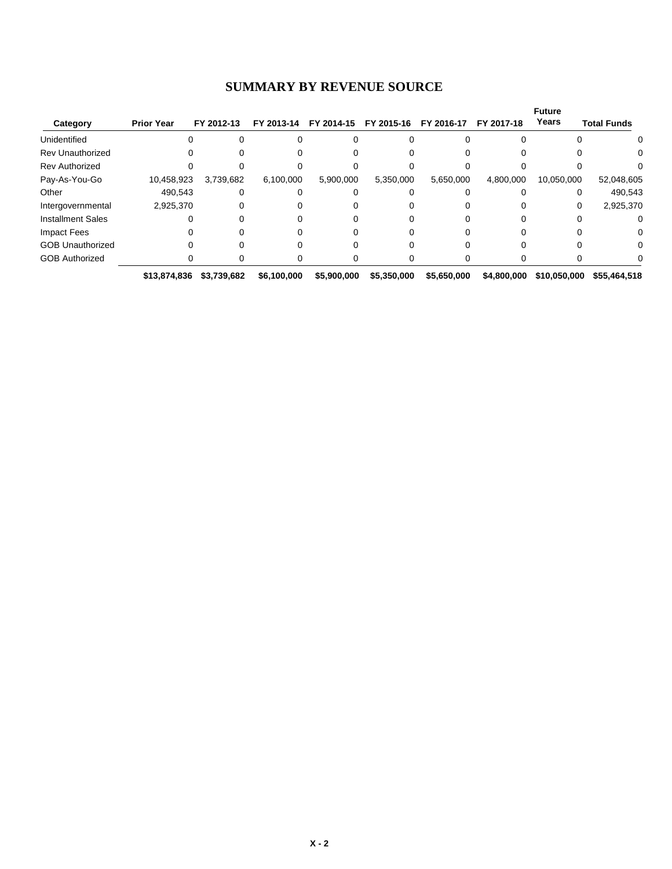| <b>SUMMARY BY REVENUE SOURCE</b> |  |  |  |
|----------------------------------|--|--|--|
|----------------------------------|--|--|--|

|                          |                   |             |             |             |             |             |             | <b>Future</b> |                    |
|--------------------------|-------------------|-------------|-------------|-------------|-------------|-------------|-------------|---------------|--------------------|
| Category                 | <b>Prior Year</b> | FY 2012-13  | FY 2013-14  | FY 2014-15  | FY 2015-16  | FY 2016-17  | FY 2017-18  | Years         | <b>Total Funds</b> |
| Unidentified             |                   |             |             |             |             |             |             |               | $\Omega$           |
| <b>Rev Unauthorized</b>  |                   |             |             |             |             |             |             |               |                    |
| <b>Rev Authorized</b>    |                   |             |             |             |             |             |             |               |                    |
| Pay-As-You-Go            | 10,458,923        | 3,739,682   | 6,100,000   | 5,900,000   | 5,350,000   | 5,650,000   | 4,800,000   | 10,050,000    | 52,048,605         |
| Other                    | 490.543           |             |             |             |             |             |             | 0             | 490,543            |
| Intergovernmental        | 2,925,370         |             |             |             |             |             |             | 0             | 2,925,370          |
| <b>Installment Sales</b> |                   |             |             |             |             |             |             |               |                    |
| <b>Impact Fees</b>       |                   |             |             |             |             |             |             |               | 0                  |
| <b>GOB Unauthorized</b>  |                   |             |             |             |             |             |             |               | 0                  |
| <b>GOB Authorized</b>    |                   |             |             |             |             |             |             |               |                    |
|                          | \$13,874,836      | \$3,739,682 | \$6,100,000 | \$5,900,000 | \$5,350,000 | \$5,650,000 | \$4,800,000 | \$10,050,000  | \$55,464,518       |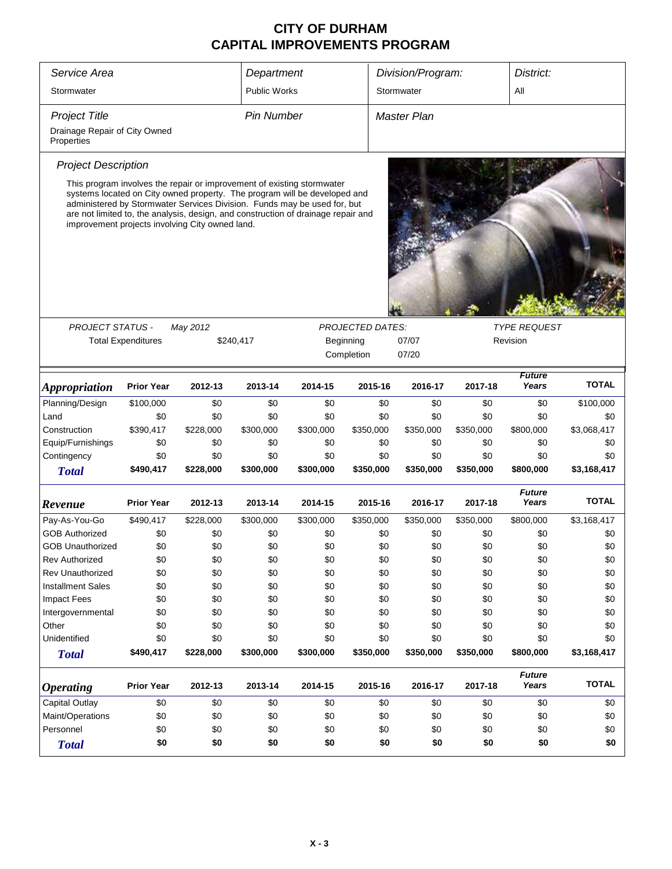| Service Area                                                                                                                                                                                                                                                                                                                                                            |                           |           |                     |           |                         | Division/Program:  |           | District:              |              |  |
|-------------------------------------------------------------------------------------------------------------------------------------------------------------------------------------------------------------------------------------------------------------------------------------------------------------------------------------------------------------------------|---------------------------|-----------|---------------------|-----------|-------------------------|--------------------|-----------|------------------------|--------------|--|
|                                                                                                                                                                                                                                                                                                                                                                         |                           |           | Department          |           |                         |                    |           |                        |              |  |
| Stormwater                                                                                                                                                                                                                                                                                                                                                              |                           |           | <b>Public Works</b> |           |                         | Stormwater         |           | All                    |              |  |
| <b>Project Title</b>                                                                                                                                                                                                                                                                                                                                                    |                           |           | <b>Pin Number</b>   |           |                         | <b>Master Plan</b> |           |                        |              |  |
| Drainage Repair of City Owned<br>Properties                                                                                                                                                                                                                                                                                                                             |                           |           |                     |           |                         |                    |           |                        |              |  |
| <b>Project Description</b>                                                                                                                                                                                                                                                                                                                                              |                           |           |                     |           |                         |                    |           |                        |              |  |
| This program involves the repair or improvement of existing stormwater<br>systems located on City owned property. The program will be developed and<br>administered by Stormwater Services Division. Funds may be used for, but<br>are not limited to, the analysis, design, and construction of drainage repair and<br>improvement projects involving City owned land. |                           |           |                     |           |                         |                    |           |                        |              |  |
|                                                                                                                                                                                                                                                                                                                                                                         |                           |           |                     |           |                         |                    |           |                        |              |  |
| <b>PROJECT STATUS -</b>                                                                                                                                                                                                                                                                                                                                                 |                           | May 2012  |                     |           | <b>PROJECTED DATES:</b> |                    |           | <b>TYPE REQUEST</b>    |              |  |
|                                                                                                                                                                                                                                                                                                                                                                         | <b>Total Expenditures</b> |           | \$240,417           |           | Beginning               | Revision           |           |                        |              |  |
|                                                                                                                                                                                                                                                                                                                                                                         |                           |           |                     |           | Completion              | 07/20              |           |                        |              |  |
| <i><b>Appropriation</b></i>                                                                                                                                                                                                                                                                                                                                             | <b>Prior Year</b>         | 2012-13   | 2013-14             | 2014-15   | 2015-16                 | 2016-17            | 2017-18   | <b>Future</b><br>Years | <b>TOTAL</b> |  |
| Planning/Design                                                                                                                                                                                                                                                                                                                                                         | \$100,000                 | \$0       | \$0                 | \$0       | \$0                     | \$0                | \$0       | \$0                    | \$100,000    |  |
| Land                                                                                                                                                                                                                                                                                                                                                                    | \$0                       | \$0       | \$0                 | \$0       | \$0                     | \$0                | \$0       | \$0                    | \$0          |  |
| Construction                                                                                                                                                                                                                                                                                                                                                            | \$390,417                 | \$228,000 | \$300,000           | \$300,000 | \$350,000               | \$350,000          | \$350,000 | \$800,000              | \$3,068,417  |  |
| Equip/Furnishings                                                                                                                                                                                                                                                                                                                                                       | \$0                       | \$0       | \$0                 | \$0       | \$0                     | \$0                | \$0       | \$0                    | \$0          |  |
| Contingency                                                                                                                                                                                                                                                                                                                                                             | \$0                       | \$0       | \$0                 | \$0       | \$0                     | \$0                | \$0       | \$0                    | \$0          |  |
| <b>Total</b>                                                                                                                                                                                                                                                                                                                                                            | \$490,417                 | \$228,000 | \$300,000           | \$300,000 | \$350,000               | \$350,000          | \$350,000 | \$800,000              | \$3,168,417  |  |
| Revenue                                                                                                                                                                                                                                                                                                                                                                 | <b>Prior Year</b>         | 2012-13   | 2013-14             | 2014-15   | 2015-16                 | 2016-17            | 2017-18   | <b>Future</b><br>Years | <b>TOTAL</b> |  |
| Pay-As-You-Go                                                                                                                                                                                                                                                                                                                                                           | \$490,417                 | \$228,000 | \$300,000           | \$300,000 | \$350,000               | \$350,000          | \$350,000 | \$800,000              | \$3,168,417  |  |
| <b>GOB Authorized</b>                                                                                                                                                                                                                                                                                                                                                   | \$0                       | \$0       | \$0                 | \$0       | \$0                     | \$0                | \$0       | \$0                    | \$0          |  |
| <b>GOB Unauthorized</b>                                                                                                                                                                                                                                                                                                                                                 | \$0                       | \$0       | \$0                 | \$0       | \$0                     | \$0                | \$0       | \$0                    | \$0          |  |
| <b>Rev Authorized</b>                                                                                                                                                                                                                                                                                                                                                   | \$0                       | \$0       | \$0                 | \$0       | \$0                     | \$0                | \$0       | \$0                    | \$0          |  |
| <b>Rev Unauthorized</b>                                                                                                                                                                                                                                                                                                                                                 | \$0                       | \$0       | \$0                 | \$0       | \$0                     | \$0                | \$0       | \$0                    | \$0          |  |
| <b>Installment Sales</b>                                                                                                                                                                                                                                                                                                                                                | \$0                       | \$0       | \$0                 | \$0       | \$0                     | \$0                | \$0       | \$0                    | \$0          |  |
| <b>Impact Fees</b>                                                                                                                                                                                                                                                                                                                                                      | \$0                       | \$0       | \$0                 | \$0       | \$0                     | \$0                | \$0       | \$0                    | \$0          |  |
| Intergovernmental                                                                                                                                                                                                                                                                                                                                                       | \$0                       | \$0       | \$0                 | \$0       | \$0                     | \$0                | \$0       | \$0                    | \$0          |  |
| Other                                                                                                                                                                                                                                                                                                                                                                   | \$0                       | \$0       | \$0                 | \$0       | \$0                     | \$0                | \$0       | \$0                    | \$0          |  |
| Unidentified                                                                                                                                                                                                                                                                                                                                                            | \$0                       | \$0       | \$0                 | \$0       | \$0                     | \$0                | \$0       | \$0                    | \$0          |  |
| <b>Total</b>                                                                                                                                                                                                                                                                                                                                                            | \$490,417                 | \$228,000 | \$300,000           | \$300,000 | \$350,000               | \$350,000          | \$350,000 | \$800,000              | \$3,168,417  |  |
| <b>Operating</b>                                                                                                                                                                                                                                                                                                                                                        | <b>Prior Year</b>         | 2012-13   | 2013-14             | 2014-15   | 2015-16                 | 2016-17            | 2017-18   | <b>Future</b><br>Years | <b>TOTAL</b> |  |
| Capital Outlay                                                                                                                                                                                                                                                                                                                                                          | \$0                       | \$0       | \$0                 | \$0       | \$0                     | \$0                | \$0       | \$0                    | \$0          |  |
| Maint/Operations                                                                                                                                                                                                                                                                                                                                                        | \$0                       | \$0       | \$0                 | \$0       | \$0                     | \$0                | \$0       | \$0                    | \$0          |  |
| Personnel                                                                                                                                                                                                                                                                                                                                                               | \$0                       | \$0       | \$0                 | \$0       | \$0                     | \$0                | \$0       | \$0                    | \$0          |  |
| <b>Total</b>                                                                                                                                                                                                                                                                                                                                                            | \$0                       | \$0       | \$0                 | \$0       | \$0                     | \$0                | \$0       | \$0                    | \$0          |  |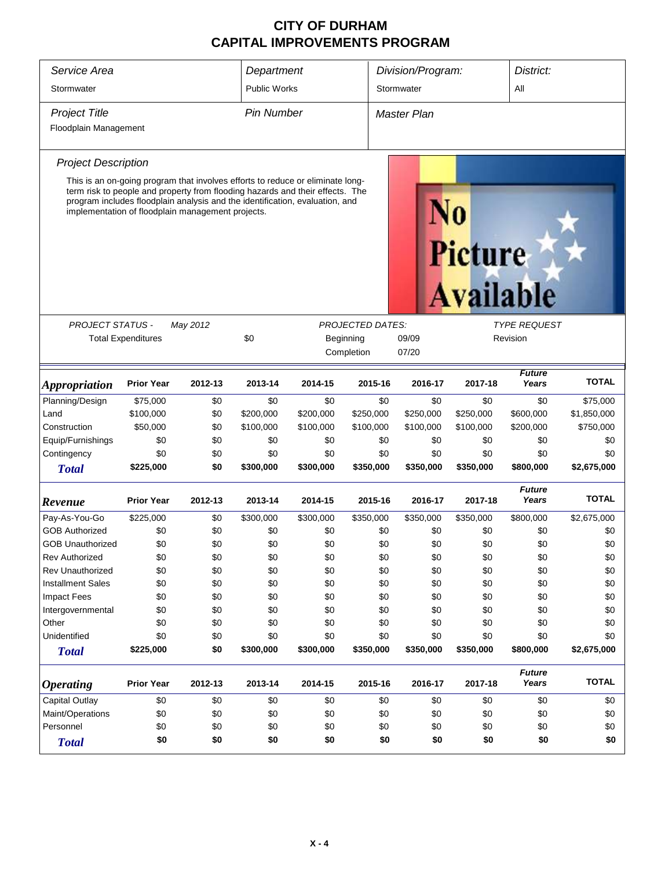| Service Area                |                                                                                                                                                                                                                                                                                                      |          | Department              |                |                         | Division/Program:  |                                    | District:              |              |  |  |
|-----------------------------|------------------------------------------------------------------------------------------------------------------------------------------------------------------------------------------------------------------------------------------------------------------------------------------------------|----------|-------------------------|----------------|-------------------------|--------------------|------------------------------------|------------------------|--------------|--|--|
| Stormwater                  |                                                                                                                                                                                                                                                                                                      |          | <b>Public Works</b>     |                |                         | Stormwater         |                                    | All                    |              |  |  |
| <b>Project Title</b>        |                                                                                                                                                                                                                                                                                                      |          | <b>Pin Number</b>       |                |                         | <b>Master Plan</b> |                                    |                        |              |  |  |
| Floodplain Management       |                                                                                                                                                                                                                                                                                                      |          |                         |                |                         |                    |                                    |                        |              |  |  |
| <b>Project Description</b>  |                                                                                                                                                                                                                                                                                                      |          |                         |                |                         |                    |                                    |                        |              |  |  |
|                             | This is an on-going program that involves efforts to reduce or eliminate long-<br>term risk to people and property from flooding hazards and their effects. The<br>program includes floodplain analysis and the identification, evaluation, and<br>implementation of floodplain management projects. |          |                         |                |                         |                    | <b>Picture</b><br><b>Available</b> |                        |              |  |  |
| <b>PROJECT STATUS -</b>     |                                                                                                                                                                                                                                                                                                      | May 2012 |                         |                | <b>PROJECTED DATES:</b> |                    |                                    | <b>TYPE REQUEST</b>    |              |  |  |
| <b>Total Expenditures</b>   | \$0                                                                                                                                                                                                                                                                                                  |          | Beginning<br>Completion | 09/09<br>07/20 |                         | Revision           |                                    |                        |              |  |  |
| <i><b>Appropriation</b></i> | <b>Prior Year</b>                                                                                                                                                                                                                                                                                    | 2012-13  | 2013-14                 | 2014-15        | 2015-16                 | 2016-17            | 2017-18                            | <b>Future</b><br>Years | <b>TOTAL</b> |  |  |
| Planning/Design             | \$75,000                                                                                                                                                                                                                                                                                             | \$0      | \$0                     | \$0            | \$0                     | \$0                | \$0                                | \$0                    | \$75,000     |  |  |
| Land                        | \$100,000                                                                                                                                                                                                                                                                                            | \$0      | \$200,000               | \$200,000      | \$250,000               | \$250,000          | \$250,000                          | \$600,000              | \$1,850,000  |  |  |
| Construction                | \$50,000                                                                                                                                                                                                                                                                                             | \$0      | \$100,000               | \$100,000      | \$100,000               | \$100,000          | \$100,000                          | \$200,000              | \$750,000    |  |  |
| Equip/Furnishings           | \$0                                                                                                                                                                                                                                                                                                  | \$0      | \$0                     | \$0            | \$0                     | \$0                | \$0                                | \$0                    | \$0          |  |  |
| Contingency                 | \$0                                                                                                                                                                                                                                                                                                  | \$0      | \$0                     | \$0            | \$0                     | \$0                | \$0                                | \$0                    | \$0          |  |  |
| <b>Total</b>                | \$225,000                                                                                                                                                                                                                                                                                            | \$0      | \$300,000               | \$300,000      | \$350,000               | \$350,000          | \$350,000                          | \$800,000              | \$2,675,000  |  |  |
| Revenue                     | <b>Prior Year</b>                                                                                                                                                                                                                                                                                    | 2012-13  | 2013-14                 | 2014-15        | 2015-16                 | 2016-17            | 2017-18                            | <b>Future</b><br>Years | <b>TOTAL</b> |  |  |
| Pay-As-You-Go               | \$225,000                                                                                                                                                                                                                                                                                            | \$0      | \$300,000               | \$300,000      | \$350,000               | \$350,000          | \$350,000                          | \$800,000              | \$2,675,000  |  |  |
| <b>GOB Authorized</b>       | \$0                                                                                                                                                                                                                                                                                                  | \$0      | \$0                     | \$0            | \$0                     | \$0                | \$0                                | \$0                    | \$0          |  |  |
| <b>GOB Unauthorized</b>     | \$0                                                                                                                                                                                                                                                                                                  | \$0      | \$0                     | \$0            | \$0                     | \$0                | \$0                                | \$0                    | \$0          |  |  |
| <b>Rev Authorized</b>       | \$0                                                                                                                                                                                                                                                                                                  | \$0      | \$0                     | \$0            | \$0                     | \$0                | \$0                                | \$0                    | \$0          |  |  |
| <b>Rev Unauthorized</b>     | \$0                                                                                                                                                                                                                                                                                                  | \$0      | \$0                     | \$0            | \$0                     | \$0                | \$0                                | \$0                    | \$0          |  |  |
| <b>Installment Sales</b>    | \$0                                                                                                                                                                                                                                                                                                  | \$0      | \$0                     | \$0            | \$0                     | \$0                | \$0                                | \$0                    | \$0          |  |  |
| <b>Impact Fees</b>          | \$0                                                                                                                                                                                                                                                                                                  | \$0      | \$0                     | \$0            | \$0                     | \$0                | \$0                                | \$0                    | \$0          |  |  |
| Intergovernmental           | \$0                                                                                                                                                                                                                                                                                                  | \$0      | \$0                     | \$0            | \$0                     | \$0                | \$0                                | \$0                    | \$0          |  |  |
| Other                       | \$0                                                                                                                                                                                                                                                                                                  | \$0      | \$0                     | \$0            | \$0                     | \$0                | \$0                                | \$0                    | \$0          |  |  |
| Unidentified                | \$0                                                                                                                                                                                                                                                                                                  | \$0      | \$0                     | \$0            | \$0                     | \$0                | \$0                                | \$0                    | \$0          |  |  |
| <b>Total</b>                | \$225,000                                                                                                                                                                                                                                                                                            | \$0      | \$300,000               | \$300,000      | \$350,000               | \$350,000          | \$350,000                          | \$800,000              | \$2,675,000  |  |  |
| <b>Operating</b>            | <b>Prior Year</b>                                                                                                                                                                                                                                                                                    | 2012-13  | 2013-14                 | 2014-15        | 2015-16                 | 2016-17            | 2017-18                            | <b>Future</b><br>Years | <b>TOTAL</b> |  |  |
| <b>Capital Outlay</b>       | \$0                                                                                                                                                                                                                                                                                                  | \$0      | \$0                     | \$0            | \$0                     | \$0                | \$0                                | \$0                    | \$0          |  |  |
| Maint/Operations            | \$0                                                                                                                                                                                                                                                                                                  | \$0      | \$0                     | \$0            | \$0                     | \$0                | \$0                                | \$0                    | \$0          |  |  |
| Personnel                   | \$0                                                                                                                                                                                                                                                                                                  | \$0      | \$0                     | \$0            | \$0                     | \$0                | \$0                                | \$0                    | \$0          |  |  |
| <b>Total</b>                | \$0                                                                                                                                                                                                                                                                                                  | \$0      | \$0                     | \$0            | \$0                     | \$0                | \$0                                | \$0                    | \$0          |  |  |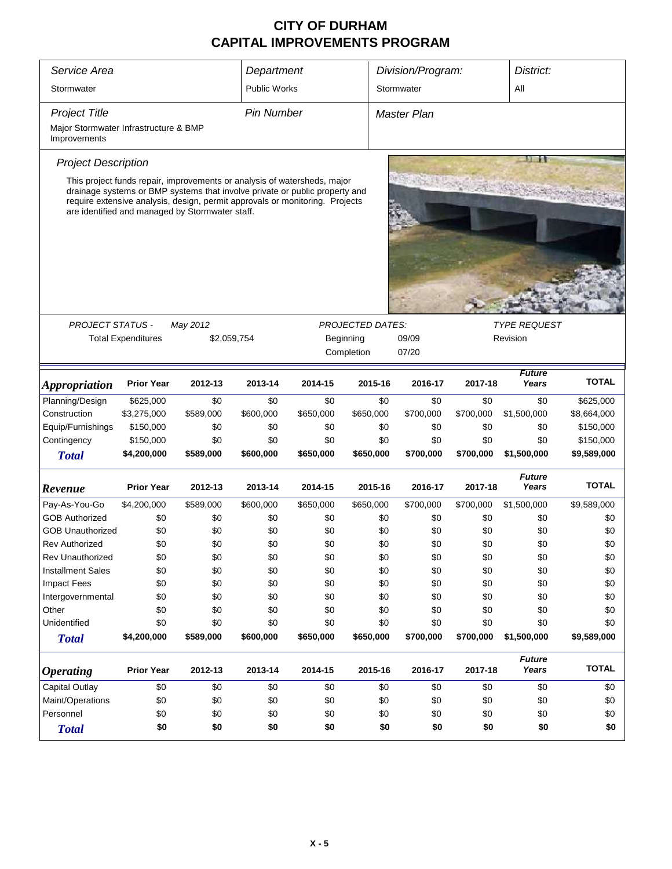| Service Area                                                                                                                                                                                                   |                           |                                                                          |                     |           |                         |                                |           |                        |              |  |  |  |
|----------------------------------------------------------------------------------------------------------------------------------------------------------------------------------------------------------------|---------------------------|--------------------------------------------------------------------------|---------------------|-----------|-------------------------|--------------------------------|-----------|------------------------|--------------|--|--|--|
|                                                                                                                                                                                                                |                           |                                                                          | Department          |           |                         | Division/Program:<br>District: |           |                        |              |  |  |  |
| Stormwater                                                                                                                                                                                                     |                           |                                                                          | <b>Public Works</b> |           |                         | Stormwater<br>ΑIΙ              |           |                        |              |  |  |  |
| <b>Project Title</b>                                                                                                                                                                                           |                           |                                                                          | <b>Pin Number</b>   |           |                         | <b>Master Plan</b>             |           |                        |              |  |  |  |
| Major Stormwater Infrastructure & BMP<br>Improvements                                                                                                                                                          |                           |                                                                          |                     |           |                         |                                |           |                        |              |  |  |  |
| <b>Bi A</b><br><b>Project Description</b>                                                                                                                                                                      |                           |                                                                          |                     |           |                         |                                |           |                        |              |  |  |  |
|                                                                                                                                                                                                                |                           | This project funds repair, improvements or analysis of watersheds, major |                     |           |                         |                                |           |                        |              |  |  |  |
| drainage systems or BMP systems that involve private or public property and<br>require extensive analysis, design, permit approvals or monitoring. Projects<br>are identified and managed by Stormwater staff. |                           |                                                                          |                     |           |                         |                                |           |                        |              |  |  |  |
|                                                                                                                                                                                                                |                           |                                                                          |                     |           |                         |                                |           |                        |              |  |  |  |
|                                                                                                                                                                                                                |                           |                                                                          |                     |           |                         |                                |           |                        |              |  |  |  |
|                                                                                                                                                                                                                |                           |                                                                          |                     |           |                         |                                |           |                        |              |  |  |  |
|                                                                                                                                                                                                                |                           |                                                                          |                     |           |                         |                                |           |                        |              |  |  |  |
| <b>PROJECT STATUS -</b>                                                                                                                                                                                        |                           | May 2012                                                                 |                     |           | <b>PROJECTED DATES:</b> |                                |           | <b>TYPE REQUEST</b>    |              |  |  |  |
|                                                                                                                                                                                                                | <b>Total Expenditures</b> | \$2,059,754                                                              |                     |           | Beginning               | 09/09                          |           | Revision               |              |  |  |  |
|                                                                                                                                                                                                                |                           |                                                                          |                     |           | Completion              | 07/20                          |           |                        |              |  |  |  |
|                                                                                                                                                                                                                |                           |                                                                          |                     |           |                         |                                |           | <b>Future</b>          |              |  |  |  |
| <i><b>Appropriation</b></i>                                                                                                                                                                                    | <b>Prior Year</b>         | 2012-13                                                                  | 2013-14             | 2014-15   | 2015-16                 | 2016-17                        | 2017-18   | Years                  | <b>TOTAL</b> |  |  |  |
| Planning/Design                                                                                                                                                                                                | \$625,000                 | \$0                                                                      | \$0                 | \$0       | \$0                     | \$0                            | \$0       | \$0                    | \$625,000    |  |  |  |
| Construction                                                                                                                                                                                                   | \$3,275,000               | \$589,000                                                                | \$600,000           | \$650,000 | \$650,000               | \$700,000                      | \$700,000 | \$1,500,000            | \$8,664,000  |  |  |  |
| Equip/Furnishings                                                                                                                                                                                              | \$150,000                 | \$0                                                                      | \$0                 | \$0       | \$0                     | \$0                            | \$0       | \$0                    | \$150,000    |  |  |  |
| Contingency                                                                                                                                                                                                    | \$150,000                 | \$0                                                                      | \$0                 | \$0       | \$0                     | \$0                            | \$0       | \$0                    | \$150,000    |  |  |  |
| <b>Total</b>                                                                                                                                                                                                   | \$4,200,000               | \$589,000                                                                | \$600,000           | \$650,000 | \$650,000               | \$700,000                      | \$700,000 | \$1,500,000            | \$9,589,000  |  |  |  |
| Revenue                                                                                                                                                                                                        | <b>Prior Year</b>         | 2012-13                                                                  | 2013-14             | 2014-15   | 2015-16                 | 2016-17                        | 2017-18   | <b>Future</b><br>Years | <b>TOTAL</b> |  |  |  |
| Pay-As-You-Go                                                                                                                                                                                                  | \$4,200,000               | \$589,000                                                                | \$600,000           | \$650,000 | \$650,000               | \$700,000                      | \$700,000 | \$1,500,000            | \$9,589,000  |  |  |  |
| <b>GOB Authorized</b>                                                                                                                                                                                          | \$0                       | \$0                                                                      | \$0                 | \$0       | \$0                     | \$0                            | \$0       | \$0                    | \$0          |  |  |  |
| <b>GOB Unauthorized</b>                                                                                                                                                                                        | \$0                       | \$0                                                                      | \$0                 | \$0       | \$0                     | \$0                            | \$0       | \$0                    | \$0          |  |  |  |
| Rev Authorized                                                                                                                                                                                                 | \$0                       | \$0                                                                      | \$0                 | \$0       | \$0                     | \$0                            | \$0       | \$0                    | \$0          |  |  |  |
| Rev Unauthorized                                                                                                                                                                                               | \$0                       | \$0                                                                      | \$0                 | \$0       | \$0                     | \$0                            | \$0       | \$0                    | \$0          |  |  |  |
| <b>Installment Sales</b>                                                                                                                                                                                       | \$0                       | \$0                                                                      | \$0                 | \$0       | \$0                     | \$0                            | \$0       | \$0                    | \$0          |  |  |  |
| <b>Impact Fees</b>                                                                                                                                                                                             | \$0                       | \$0                                                                      | \$0                 | \$0       | \$0                     | \$0                            | \$0       | \$0                    | \$0          |  |  |  |
| Intergovernmental                                                                                                                                                                                              | \$0                       | \$0                                                                      | \$0                 | \$0       | \$0                     | \$0                            | \$0       | \$0                    | \$0          |  |  |  |
| Other                                                                                                                                                                                                          | \$0                       | \$0                                                                      | \$0                 | \$0       | \$0                     | \$0                            | \$0       | \$0                    | \$0          |  |  |  |
| Unidentified                                                                                                                                                                                                   | \$0                       | \$0                                                                      | \$0                 | \$0       | \$0                     | \$0                            | \$0       | \$0                    | \$0          |  |  |  |
| <b>Total</b>                                                                                                                                                                                                   | \$4,200,000               | \$589,000                                                                | \$600,000           | \$650,000 | \$650,000               | \$700,000                      | \$700,000 | \$1,500,000            | \$9,589,000  |  |  |  |
| <b>Operating</b>                                                                                                                                                                                               | <b>Prior Year</b>         | 2012-13                                                                  | 2013-14             | 2014-15   | 2015-16                 | 2016-17                        | 2017-18   | <b>Future</b><br>Years | <b>TOTAL</b> |  |  |  |
| <b>Capital Outlay</b>                                                                                                                                                                                          | \$0                       | \$0                                                                      | \$0                 | \$0       | \$0                     | \$0                            | \$0       | \$0                    | \$0          |  |  |  |
| Maint/Operations                                                                                                                                                                                               | \$0                       | \$0                                                                      | \$0                 | \$0       | \$0                     | \$0                            | \$0       | \$0                    | \$0          |  |  |  |
| Personnel                                                                                                                                                                                                      | \$0                       | \$0                                                                      | \$0                 | \$0       | \$0                     | \$0                            | \$0       | \$0                    | \$0          |  |  |  |
| <b>Total</b>                                                                                                                                                                                                   | \$0                       | \$0                                                                      | \$0                 | \$0       | \$0                     | \$0                            | \$0       | \$0                    | \$0          |  |  |  |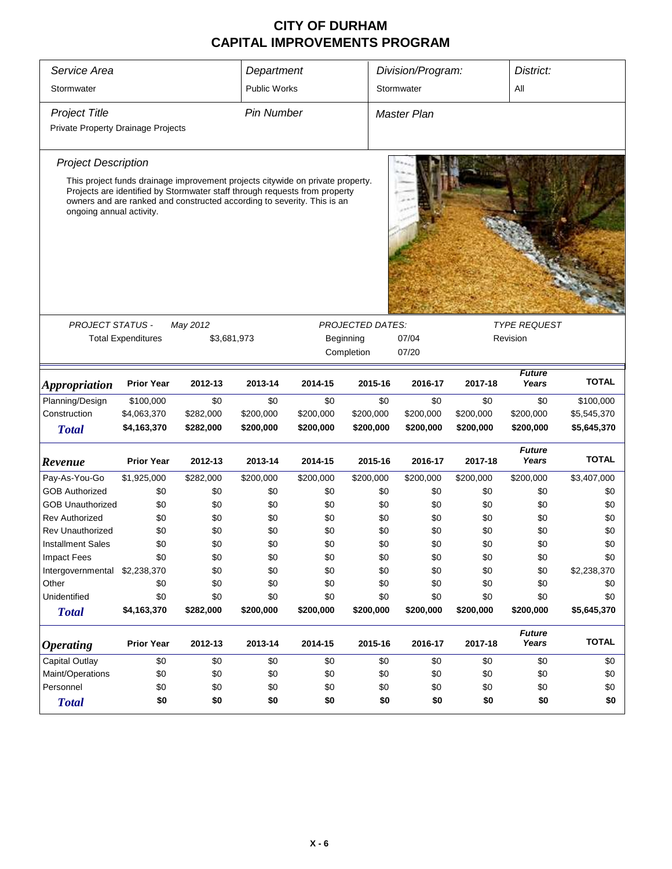| Service Area                       |                           |                                                                                                                                                       | Department          |           |                         | Division/Program:<br>District: |           |                        |              |  |  |
|------------------------------------|---------------------------|-------------------------------------------------------------------------------------------------------------------------------------------------------|---------------------|-----------|-------------------------|--------------------------------|-----------|------------------------|--------------|--|--|
| Stormwater                         |                           |                                                                                                                                                       | <b>Public Works</b> |           |                         | All<br>Stormwater              |           |                        |              |  |  |
| <b>Project Title</b>               |                           |                                                                                                                                                       | <b>Pin Number</b>   |           |                         | <b>Master Plan</b>             |           |                        |              |  |  |
| Private Property Drainage Projects |                           |                                                                                                                                                       |                     |           |                         |                                |           |                        |              |  |  |
| <b>Project Description</b>         |                           |                                                                                                                                                       |                     |           |                         |                                |           |                        |              |  |  |
|                                    |                           | This project funds drainage improvement projects citywide on private property.                                                                        |                     |           |                         |                                |           |                        |              |  |  |
| ongoing annual activity.           |                           | Projects are identified by Stormwater staff through requests from property<br>owners and are ranked and constructed according to severity. This is an |                     |           |                         |                                |           |                        |              |  |  |
|                                    |                           |                                                                                                                                                       |                     |           |                         |                                |           |                        |              |  |  |
|                                    |                           |                                                                                                                                                       |                     |           |                         |                                |           |                        |              |  |  |
|                                    |                           |                                                                                                                                                       |                     |           |                         |                                |           |                        |              |  |  |
|                                    |                           |                                                                                                                                                       |                     |           |                         |                                |           |                        |              |  |  |
|                                    |                           |                                                                                                                                                       |                     |           |                         |                                |           |                        |              |  |  |
| <b>PROJECT STATUS -</b>            |                           | May 2012                                                                                                                                              |                     |           | <b>PROJECTED DATES:</b> |                                |           | <b>TYPE REQUEST</b>    |              |  |  |
|                                    | <b>Total Expenditures</b> | \$3,681,973                                                                                                                                           |                     |           | Beginning               | 07/04                          |           | Revision               |              |  |  |
|                                    |                           |                                                                                                                                                       |                     |           | Completion              | 07/20                          |           |                        |              |  |  |
| <i><b>Appropriation</b></i>        | <b>Prior Year</b>         | 2012-13                                                                                                                                               | 2013-14             | 2014-15   | 2015-16                 | 2016-17                        | 2017-18   | <b>Future</b><br>Years | <b>TOTAL</b> |  |  |
| Planning/Design                    | \$100,000                 | \$0                                                                                                                                                   | \$0                 | \$0       | \$0                     | \$0                            | \$0       | \$0                    | \$100,000    |  |  |
| Construction                       | \$4,063,370               | \$282,000                                                                                                                                             | \$200,000           | \$200,000 | \$200,000               | \$200,000                      | \$200,000 | \$200,000              | \$5,545,370  |  |  |
| <b>Total</b>                       | \$4,163,370               | \$282,000                                                                                                                                             | \$200,000           | \$200,000 | \$200,000               | \$200,000                      | \$200,000 | \$200,000              | \$5,645,370  |  |  |
| Revenue                            | <b>Prior Year</b>         | 2012-13                                                                                                                                               | 2013-14             | 2014-15   | 2015-16                 | 2016-17                        | 2017-18   | <b>Future</b><br>Years | <b>TOTAL</b> |  |  |
| Pay-As-You-Go                      | \$1,925,000               | \$282,000                                                                                                                                             | \$200,000           | \$200,000 | \$200,000               | \$200,000                      | \$200,000 | \$200,000              | \$3,407,000  |  |  |
| <b>GOB Authorized</b>              | \$0                       | \$0                                                                                                                                                   | \$0                 | \$0       | \$0                     | \$0                            | \$0       | \$0                    | \$0          |  |  |
| <b>GOB Unauthorized</b>            | \$0                       | \$0                                                                                                                                                   | \$0                 | \$0       | \$0                     | \$0                            | \$0       | \$0                    | \$0          |  |  |
| <b>Rev Authorized</b>              | \$0                       | \$0                                                                                                                                                   | \$0                 | \$0       | \$0                     | \$0                            | \$0       | \$0                    | \$0          |  |  |
| <b>Rev Unauthorized</b>            | \$0                       | \$0                                                                                                                                                   | \$0                 | \$0       | \$0                     | \$0                            | \$0       | \$0                    | \$0          |  |  |
| <b>Installment Sales</b>           | \$0                       | \$0                                                                                                                                                   | \$0                 | \$0       | \$0                     | \$0                            | \$0       | \$0                    | \$0          |  |  |
| Impact Fees                        | \$0                       | \$0                                                                                                                                                   | \$0                 | \$0       | \$0                     | \$0                            | \$0       | \$0                    | \$0          |  |  |
| Intergovernmental                  | \$2,238,370               | \$0                                                                                                                                                   | \$0                 | \$0       | \$0                     | \$0                            | \$0       | \$0                    | \$2,238,370  |  |  |
| Other                              | \$0                       | \$0                                                                                                                                                   | \$0                 | \$0       | \$0                     | \$0                            | \$0       | \$0                    | \$0          |  |  |
| Unidentified                       | \$0                       | \$0                                                                                                                                                   | \$0                 | \$0       | \$0                     | \$0                            | \$0       | \$0                    | \$0          |  |  |
| <b>Total</b>                       | \$4,163,370               | \$282,000                                                                                                                                             | \$200,000           | \$200,000 | \$200,000               | \$200,000                      | \$200,000 | \$200,000              | \$5,645,370  |  |  |
| <b>Operating</b>                   | <b>Prior Year</b>         | 2012-13                                                                                                                                               | 2013-14             | 2014-15   | 2015-16                 | 2016-17                        | 2017-18   | <b>Future</b><br>Years | <b>TOTAL</b> |  |  |
| <b>Capital Outlay</b>              | \$0                       | \$0                                                                                                                                                   | \$0                 | \$0       | \$0                     | \$0                            | \$0       | \$0                    | \$0          |  |  |
| Maint/Operations                   | \$0                       | \$0                                                                                                                                                   | \$0                 | \$0       | \$0                     | \$0                            | \$0       | \$0                    | \$0          |  |  |
| Personnel                          | \$0                       | \$0                                                                                                                                                   | \$0                 | \$0       | \$0                     | \$0                            | \$0       | \$0                    | \$0          |  |  |
| <b>Total</b>                       | \$0                       | \$0                                                                                                                                                   | \$0                 | \$0       | \$0                     | \$0                            | \$0       | \$0                    | \$0          |  |  |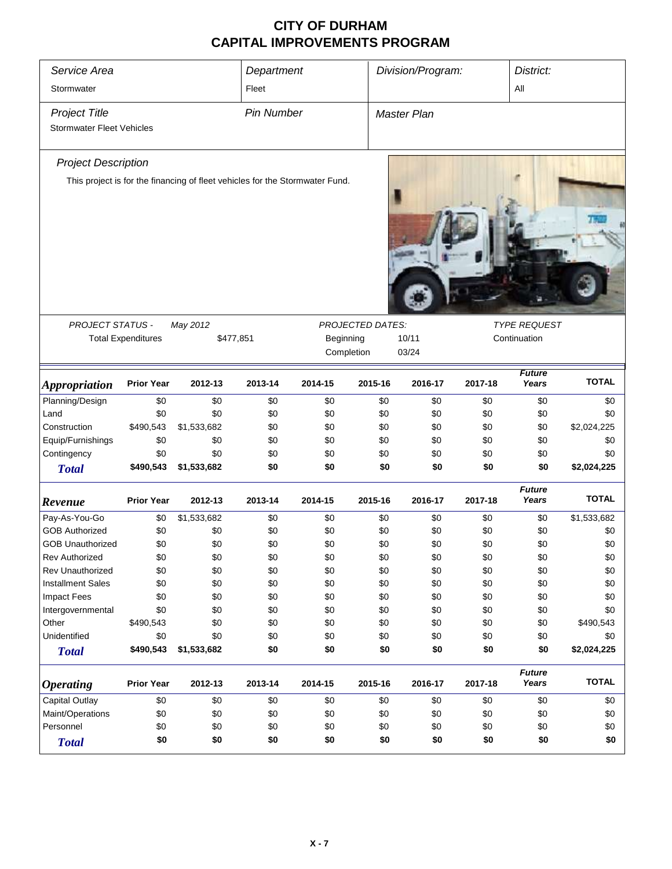| Service Area<br>Stormwater       |                           |                                                                              | Department<br>Fleet |           |                         | Division/Program: |         | District:<br>All       |              |
|----------------------------------|---------------------------|------------------------------------------------------------------------------|---------------------|-----------|-------------------------|-------------------|---------|------------------------|--------------|
| <b>Project Title</b>             |                           |                                                                              | <b>Pin Number</b>   |           |                         | Master Plan       |         |                        |              |
| <b>Stormwater Fleet Vehicles</b> |                           |                                                                              |                     |           |                         |                   |         |                        |              |
| <b>Project Description</b>       |                           |                                                                              |                     |           |                         |                   |         |                        |              |
|                                  |                           | This project is for the financing of fleet vehicles for the Stormwater Fund. |                     |           |                         |                   |         |                        |              |
|                                  |                           |                                                                              |                     |           |                         |                   |         |                        |              |
| PROJECT STATUS -                 |                           | May 2012                                                                     |                     |           | <b>PROJECTED DATES:</b> |                   |         | <b>TYPE REQUEST</b>    |              |
|                                  | <b>Total Expenditures</b> | \$477,851                                                                    |                     | Beginning |                         | 10/11             |         | Continuation           |              |
|                                  |                           |                                                                              |                     |           | Completion              | 03/24             |         |                        |              |
| <b>Appropriation</b>             | <b>Prior Year</b>         | 2012-13                                                                      | 2013-14             | 2014-15   | 2015-16                 | 2016-17           | 2017-18 | <b>Future</b><br>Years | <b>TOTAL</b> |
| Planning/Design                  | \$0                       | \$0                                                                          | \$0                 | \$0       | \$0                     | \$0               | \$0     | \$0                    | \$0          |
| Land                             | \$0                       | \$0                                                                          | \$0                 | \$0       | \$0                     | \$0               | \$0     | \$0                    | \$0          |
| Construction                     | \$490,543                 | \$1,533,682                                                                  | \$0                 | \$0       | \$0                     | \$0               | \$0     | \$0                    | \$2,024,225  |
| Equip/Furnishings                | \$0                       | \$0                                                                          | \$0                 | \$0       | \$0                     | \$0               | \$0     | \$0                    | \$0          |
| Contingency                      | \$0                       | \$0                                                                          | \$0                 | \$0       | \$0                     | \$0               | \$0     | \$0                    | \$0          |
| <b>Total</b>                     | \$490,543                 | \$1,533,682                                                                  | \$0                 | \$0       | \$0                     | \$0               | \$0     | \$0                    | \$2,024,225  |
| Revenue                          | <b>Prior Year</b>         | 2012-13                                                                      | 2013-14             | 2014-15   | 2015-16                 | 2016-17           | 2017-18 | <b>Future</b><br>Years | <b>TOTAL</b> |
| Pay-As-You-Go                    | \$0                       | \$1,533,682                                                                  | \$0                 | \$0       | \$0                     | \$0               | \$0     | \$0                    | \$1,533,682  |
| <b>GOB Authorized</b>            | \$0                       | \$0                                                                          | \$0                 | \$0       | \$0                     | \$0               | \$0     | \$0                    | \$0          |
| <b>GOB Unauthorized</b>          | \$0                       | \$0                                                                          | \$0                 | \$0       | \$0                     | \$0               | \$0     | \$0                    | \$0          |
| <b>Rev Authorized</b>            | \$0                       | \$0                                                                          | \$0                 | \$0       | \$0                     | \$0               | \$0     | \$0                    | \$0          |
| <b>Rev Unauthorized</b>          | \$0                       | \$0                                                                          | \$0                 | \$0       | \$0                     | \$0               | \$0     | \$0                    | \$0          |
| <b>Installment Sales</b>         | \$0                       | \$0                                                                          | \$0                 | \$0       | \$0                     | \$0               | \$0     | \$0                    | \$0          |
| <b>Impact Fees</b>               | \$0                       | \$0                                                                          | \$0                 | \$0       | \$0                     | \$0               | \$0     | \$0                    | \$0          |
| Intergovernmental                | \$0                       | \$0                                                                          | \$0                 | \$0       | \$0                     | \$0               | \$0     | \$0                    | \$0          |
| Other                            | \$490,543                 | \$0                                                                          | \$0                 | \$0       | \$0                     | \$0               | \$0     | \$0                    | \$490,543    |
| Unidentified                     | \$0                       | \$0                                                                          | \$0                 | \$0       | \$0                     | \$0               | \$0     | \$0                    | \$0          |
| <b>Total</b>                     | \$490,543                 | \$1,533,682                                                                  | \$0                 | \$0       | \$0                     | \$0               | \$0     | \$0                    | \$2,024,225  |
| <b>Operating</b>                 | <b>Prior Year</b>         | 2012-13                                                                      | 2013-14             | 2014-15   | 2015-16                 | 2016-17           | 2017-18 | <b>Future</b><br>Years | <b>TOTAL</b> |
| Capital Outlay                   | \$0                       | \$0                                                                          | \$0                 | \$0       | \$0                     | \$0               | \$0     | \$0                    | \$0          |
| Maint/Operations                 | \$0                       | \$0                                                                          | \$0                 | \$0       | \$0                     | \$0               | \$0     | \$0                    | \$0          |
| Personnel                        | \$0                       | \$0                                                                          | \$0                 | \$0       | \$0                     | \$0               | \$0     | \$0                    | \$0          |
| <b>Total</b>                     | \$0                       | \$0                                                                          | \$0                 | \$0       | \$0                     | \$0               | \$0     | \$0                    | \$0          |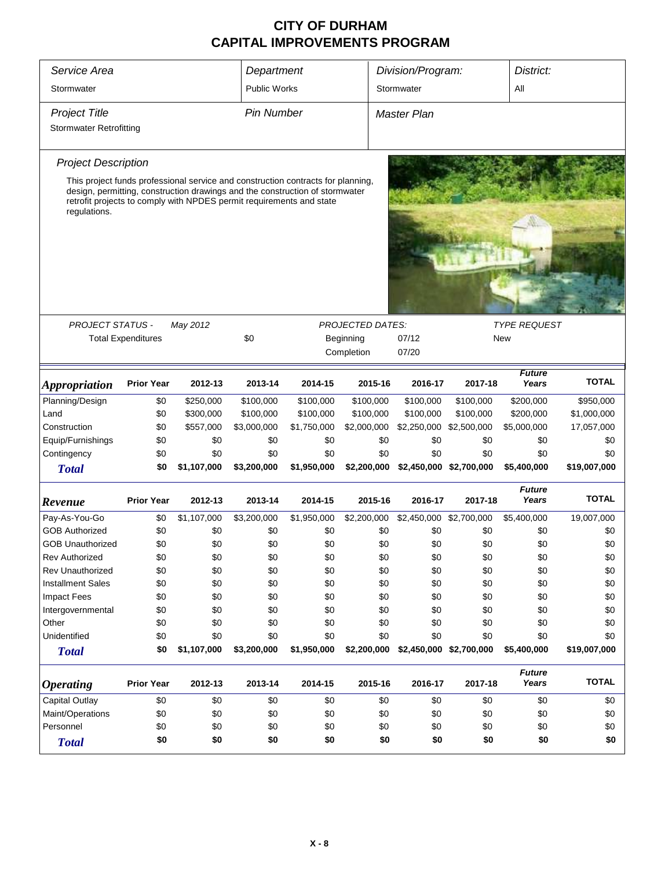| Service Area                                                                                                                                                                                                                                             |                           |             | Department          |             |                         | Division/Program:  |                         | District:              |              |  |  |  |  |
|----------------------------------------------------------------------------------------------------------------------------------------------------------------------------------------------------------------------------------------------------------|---------------------------|-------------|---------------------|-------------|-------------------------|--------------------|-------------------------|------------------------|--------------|--|--|--|--|
| Stormwater                                                                                                                                                                                                                                               |                           |             | <b>Public Works</b> |             |                         | Stormwater         |                         | All                    |              |  |  |  |  |
| <b>Project Title</b>                                                                                                                                                                                                                                     |                           |             | <b>Pin Number</b>   |             |                         | <b>Master Plan</b> |                         |                        |              |  |  |  |  |
| <b>Stormwater Retrofitting</b>                                                                                                                                                                                                                           |                           |             |                     |             |                         |                    |                         |                        |              |  |  |  |  |
|                                                                                                                                                                                                                                                          |                           |             |                     |             |                         |                    |                         |                        |              |  |  |  |  |
| <b>Project Description</b>                                                                                                                                                                                                                               |                           |             |                     |             |                         |                    |                         |                        |              |  |  |  |  |
| This project funds professional service and construction contracts for planning,<br>design, permitting, construction drawings and the construction of stormwater<br>retrofit projects to comply with NPDES permit requirements and state<br>regulations. |                           |             |                     |             |                         |                    |                         |                        |              |  |  |  |  |
|                                                                                                                                                                                                                                                          |                           |             |                     |             |                         |                    |                         |                        |              |  |  |  |  |
|                                                                                                                                                                                                                                                          |                           |             |                     |             |                         |                    |                         |                        |              |  |  |  |  |
|                                                                                                                                                                                                                                                          |                           |             |                     |             |                         |                    |                         |                        |              |  |  |  |  |
|                                                                                                                                                                                                                                                          |                           |             |                     |             |                         |                    |                         |                        |              |  |  |  |  |
|                                                                                                                                                                                                                                                          |                           |             |                     |             |                         |                    |                         |                        |              |  |  |  |  |
|                                                                                                                                                                                                                                                          |                           |             |                     |             |                         |                    |                         |                        |              |  |  |  |  |
| <b>PROJECT STATUS -</b>                                                                                                                                                                                                                                  |                           | May 2012    |                     |             | <b>PROJECTED DATES:</b> |                    |                         | <b>TYPE REQUEST</b>    |              |  |  |  |  |
|                                                                                                                                                                                                                                                          | <b>Total Expenditures</b> |             | \$0                 |             | Beginning               | 07/12              |                         | New                    |              |  |  |  |  |
|                                                                                                                                                                                                                                                          |                           |             |                     |             | Completion              | 07/20              |                         |                        |              |  |  |  |  |
| <i><b>Appropriation</b></i>                                                                                                                                                                                                                              | <b>Prior Year</b>         | 2012-13     | 2013-14             | 2014-15     | 2015-16                 | 2016-17            | 2017-18                 | <b>Future</b><br>Years | <b>TOTAL</b> |  |  |  |  |
| Planning/Design                                                                                                                                                                                                                                          | \$0                       | \$250,000   | \$100,000           | \$100,000   | \$100,000               | \$100,000          | \$100,000               | \$200,000              | \$950,000    |  |  |  |  |
| Land                                                                                                                                                                                                                                                     | \$0                       | \$300,000   | \$100,000           | \$100,000   | \$100,000               | \$100,000          | \$100,000               | \$200,000              | \$1,000,000  |  |  |  |  |
| Construction                                                                                                                                                                                                                                             | \$0                       | \$557,000   | \$3,000,000         | \$1,750,000 | \$2,000,000             | \$2,250,000        | \$2,500,000             | \$5,000,000            | 17,057,000   |  |  |  |  |
| Equip/Furnishings                                                                                                                                                                                                                                        | \$0                       | \$0         | \$0                 | \$0         | \$0                     | \$0                | \$0                     | \$0                    | \$0          |  |  |  |  |
| Contingency                                                                                                                                                                                                                                              | \$0                       | \$0         | \$0                 | \$0         | \$0                     | \$0                | \$0                     | \$0                    | \$0          |  |  |  |  |
| <b>Total</b>                                                                                                                                                                                                                                             | \$0                       | \$1,107,000 | \$3,200,000         | \$1,950,000 | \$2,200,000             |                    | \$2,450,000 \$2,700,000 | \$5,400,000            | \$19,007,000 |  |  |  |  |
| Revenue                                                                                                                                                                                                                                                  | <b>Prior Year</b>         | 2012-13     | 2013-14             | 2014-15     | 2015-16                 | 2016-17            | 2017-18                 | <b>Future</b><br>Years | <b>TOTAL</b> |  |  |  |  |
| Pay-As-You-Go                                                                                                                                                                                                                                            | \$0                       | \$1,107,000 | \$3,200,000         | \$1,950,000 | \$2,200,000             |                    | \$2,450,000 \$2,700,000 | \$5,400,000            | 19,007,000   |  |  |  |  |
| <b>GOB Authorized</b>                                                                                                                                                                                                                                    | \$0                       | \$0         | \$0                 | \$0         | \$0                     | \$0                | \$0                     | \$0                    | \$0          |  |  |  |  |
| <b>GOB Unauthorized</b>                                                                                                                                                                                                                                  | \$0                       | \$0         | \$0                 | \$0         | \$0                     | \$0                | \$0                     | \$0                    | \$0          |  |  |  |  |
| Rev Authorized                                                                                                                                                                                                                                           | \$0                       | \$0         | \$0                 | \$0         | \$0                     | \$0                | \$0                     | \$0                    | \$0          |  |  |  |  |
| Rev Unauthorized                                                                                                                                                                                                                                         | \$0                       | \$0         | \$0                 | \$0         | \$0                     | \$0                | \$0                     | \$0                    | \$0          |  |  |  |  |
| <b>Installment Sales</b>                                                                                                                                                                                                                                 | \$0                       | \$0         | \$0                 | \$0         | \$0                     | \$0                | \$0                     | \$0                    | \$0          |  |  |  |  |
| <b>Impact Fees</b>                                                                                                                                                                                                                                       | \$0                       | \$0         | \$0                 | \$0         | \$0                     | \$0                | \$0                     | \$0                    | \$0          |  |  |  |  |
| Intergovernmental                                                                                                                                                                                                                                        | \$0                       | \$0         | \$0                 | \$0         | \$0                     | \$0                | \$0                     | \$0                    | \$0          |  |  |  |  |
| Other                                                                                                                                                                                                                                                    | \$0                       | \$0         | \$0                 | \$0         | \$0                     | \$0                | \$0                     | \$0                    | \$0          |  |  |  |  |
| Unidentified                                                                                                                                                                                                                                             | \$0                       | \$0         | \$0                 | \$0         | \$0                     | \$0                | \$0                     | \$0                    | \$0          |  |  |  |  |
| <b>Total</b>                                                                                                                                                                                                                                             | \$0                       | \$1,107,000 | \$3,200,000         | \$1,950,000 | \$2,200,000             |                    | \$2,450,000 \$2,700,000 | \$5,400,000            | \$19,007,000 |  |  |  |  |
| <b>Operating</b>                                                                                                                                                                                                                                         | <b>Prior Year</b>         | 2012-13     | 2013-14             | 2014-15     | 2015-16                 | 2016-17            | 2017-18                 | <b>Future</b><br>Years | <b>TOTAL</b> |  |  |  |  |
| <b>Capital Outlay</b>                                                                                                                                                                                                                                    | \$0                       | \$0         | \$0                 | \$0         | \$0                     | \$0                | \$0                     | \$0                    | \$0          |  |  |  |  |
| Maint/Operations                                                                                                                                                                                                                                         | \$0                       | \$0         | \$0                 | \$0         | \$0                     | \$0                | \$0                     | \$0                    | \$0          |  |  |  |  |
| Personnel                                                                                                                                                                                                                                                | \$0                       | \$0         | \$0                 | \$0         | \$0                     | \$0                | \$0                     | \$0                    | \$0          |  |  |  |  |
| <b>Total</b>                                                                                                                                                                                                                                             | \$0                       | \$0         | \$0                 | \$0         | \$0                     | \$0                | \$0                     | \$0                    | \$0          |  |  |  |  |